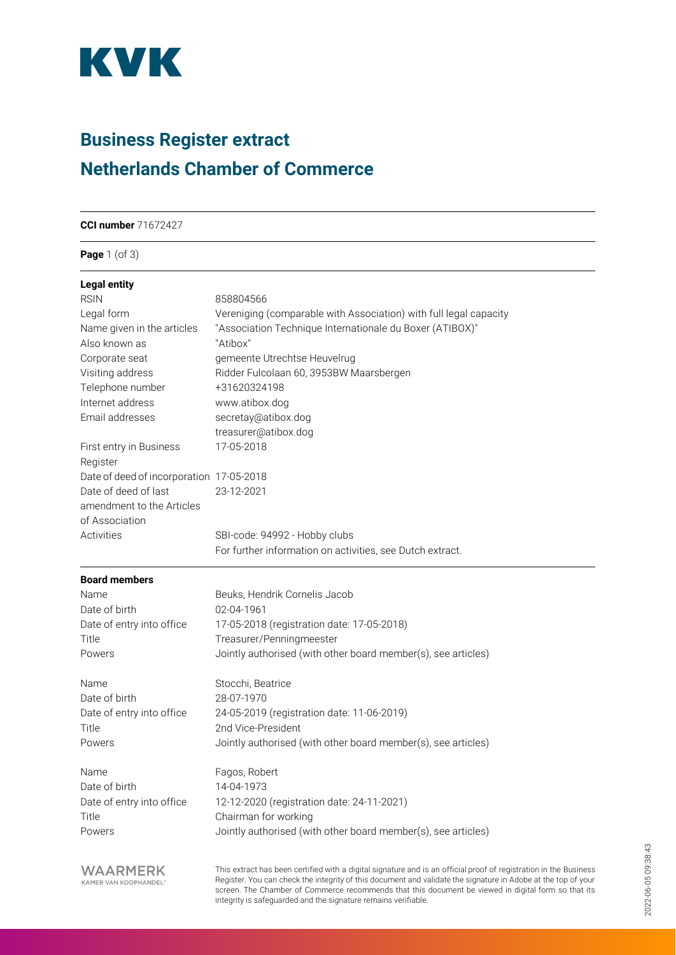

## **Business Register extract Netherlands Chamber of Commerce**

**CCI number** 71672427

### **Page** 1 (of 3)

| <b>Legal entity</b>                                                                                            | 858804566<br>Vereniging (comparable with Association) with full legal capacity<br>"Association Technique Internationale du Boxer (ATIBOX)"<br>"Atibox"<br>gemeente Utrechtse Heuvelrug<br>Ridder Fulcolaan 60, 3953BW Maarsbergen |                                     |                      |
|----------------------------------------------------------------------------------------------------------------|-----------------------------------------------------------------------------------------------------------------------------------------------------------------------------------------------------------------------------------|-------------------------------------|----------------------|
| <b>RSIN</b><br>Legal form<br>Name given in the articles<br>Also known as<br>Corporate seat<br>Visiting address |                                                                                                                                                                                                                                   |                                     |                      |
|                                                                                                                |                                                                                                                                                                                                                                   | Telephone number                    | +31620324198         |
|                                                                                                                |                                                                                                                                                                                                                                   | Internet address                    | www.atibox.dog       |
|                                                                                                                |                                                                                                                                                                                                                                   | Email addresses                     | secretay@atibox.dog  |
|                                                                                                                |                                                                                                                                                                                                                                   |                                     | treasurer@atibox.dog |
|                                                                                                                |                                                                                                                                                                                                                                   | First entry in Business<br>Register | 17-05-2018           |
| Date of deed of incorporation 17-05-2018                                                                       |                                                                                                                                                                                                                                   |                                     |                      |
| Date of deed of last                                                                                           | 23-12-2021                                                                                                                                                                                                                        |                                     |                      |
| amendment to the Articles                                                                                      |                                                                                                                                                                                                                                   |                                     |                      |
| of Association                                                                                                 |                                                                                                                                                                                                                                   |                                     |                      |
| Activities                                                                                                     | SBI-code: 94992 - Hobby clubs                                                                                                                                                                                                     |                                     |                      |
|                                                                                                                | For further information on activities, see Dutch extract.                                                                                                                                                                         |                                     |                      |
| <b>Board members</b>                                                                                           |                                                                                                                                                                                                                                   |                                     |                      |
| Name                                                                                                           | Beuks, Hendrik Cornelis Jacob                                                                                                                                                                                                     |                                     |                      |
| Date of birth                                                                                                  | 02-04-1961                                                                                                                                                                                                                        |                                     |                      |
| Date of entry into office                                                                                      | 17-05-2018 (registration date: 17-05-2018)                                                                                                                                                                                        |                                     |                      |
| Title                                                                                                          | Treasurer/Penningmeester                                                                                                                                                                                                          |                                     |                      |
| Powers                                                                                                         | Jointly authorised (with other board member(s), see articles)                                                                                                                                                                     |                                     |                      |
| Name                                                                                                           | Stocchi, Beatrice                                                                                                                                                                                                                 |                                     |                      |
| Date of birth                                                                                                  | 28-07-1970                                                                                                                                                                                                                        |                                     |                      |
| Date of entry into office                                                                                      | 24-05-2019 (registration date: 11-06-2019)                                                                                                                                                                                        |                                     |                      |
| Title                                                                                                          | 2nd Vice-President                                                                                                                                                                                                                |                                     |                      |
| Powers                                                                                                         | Jointly authorised (with other board member(s), see articles)                                                                                                                                                                     |                                     |                      |
| Name                                                                                                           | Fagos, Robert                                                                                                                                                                                                                     |                                     |                      |
| Date of birth                                                                                                  | 14-04-1973                                                                                                                                                                                                                        |                                     |                      |
| Date of entry into office                                                                                      | 12-12-2020 (registration date: 24-11-2021)                                                                                                                                                                                        |                                     |                      |
| Title                                                                                                          | Chairman for working                                                                                                                                                                                                              |                                     |                      |
| Powers                                                                                                         | Jointly authorised (with other board member(s), see articles)                                                                                                                                                                     |                                     |                      |
| <b>WAARMERK</b>                                                                                                | This extract has been certified with a digital signature and is an official proof of registration in the                                                                                                                          |                                     |                      |

**VVAARMERK** 

This extract has been certified with a digital signature and is an official proof of registration in the Business Register. You can check the integrity of this document and validate the signature in Adobe at the top of your screen. The Chamber of Commerce recommends that this document be viewed in digital form so that its integrity is safeguarded and the signature remains verifiable.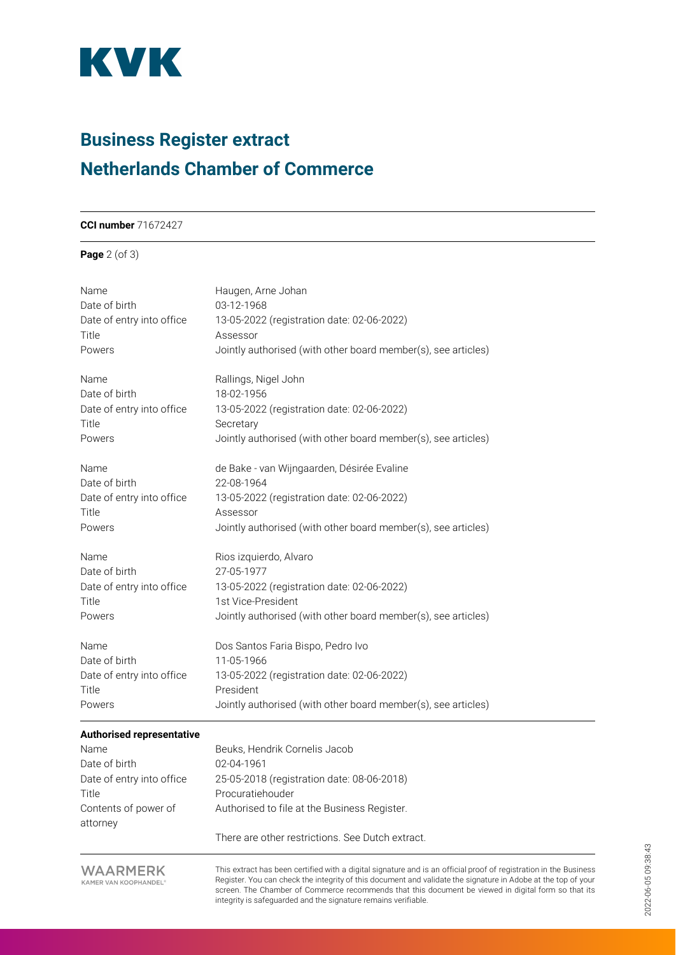

### **Business Register extract Netherlands Chamber of Commerce**

#### **CCI number** 71672427

### **Page** 2 (of 3)

| Name<br>Date of birth<br>Date of entry into office<br>Title | Haugen, Arne Johan<br>03-12-1968<br>13-05-2022 (registration date: 02-06-2022)<br>Assessor |
|-------------------------------------------------------------|--------------------------------------------------------------------------------------------|
| Powers                                                      | Jointly authorised (with other board member(s), see articles)                              |
| Name                                                        | Rallings, Nigel John                                                                       |
| Date of birth<br>Date of entry into office<br>Title         | 18-02-1956<br>13-05-2022 (registration date: 02-06-2022)<br>Secretary                      |
| Powers                                                      | Jointly authorised (with other board member(s), see articles)                              |
| Name<br>Date of birth                                       | de Bake - van Wijngaarden, Désirée Evaline<br>22-08-1964                                   |
| Date of entry into office                                   | 13-05-2022 (registration date: 02-06-2022)                                                 |
| Title                                                       | Assessor                                                                                   |
| Powers                                                      | Jointly authorised (with other board member(s), see articles)                              |
| Name                                                        | Rios izquierdo, Alvaro                                                                     |
| Date of birth                                               | 27-05-1977                                                                                 |
| Date of entry into office                                   | 13-05-2022 (registration date: 02-06-2022)                                                 |
| Title                                                       | 1st Vice-President                                                                         |
| Powers                                                      | Jointly authorised (with other board member(s), see articles)                              |
| Name                                                        | Dos Santos Faria Bispo, Pedro Ivo                                                          |
| Date of birth                                               | 11-05-1966                                                                                 |
| Date of entry into office                                   | 13-05-2022 (registration date: 02-06-2022)                                                 |
| Title                                                       | President                                                                                  |
| Powers                                                      | Jointly authorised (with other board member(s), see articles)                              |
| <b>Authorised representative</b>                            |                                                                                            |
| Name                                                        | Beuks, Hendrik Cornelis Jacob                                                              |
| $Data$ of hirth                                             | $02-04-1061$                                                                               |

Date of birth 02-04-1961 Title **Procuratiehouder** Contents of power of attorney

Date of entry into office 25-05-2018 (registration date: 08-06-2018) Authorised to file at the Business Register.

There are other restrictions. See Dutch extract.

**WAARMERK** KAMER VAN KOOPHANDEL®

This extract has been certified with a digital signature and is an official proof of registration in the Business Register. You can check the integrity of this document and validate the signature in Adobe at the top of your screen. The Chamber of Commerce recommends that this document be viewed in digital form so that its integrity is safeguarded and the signature remains verifiable.